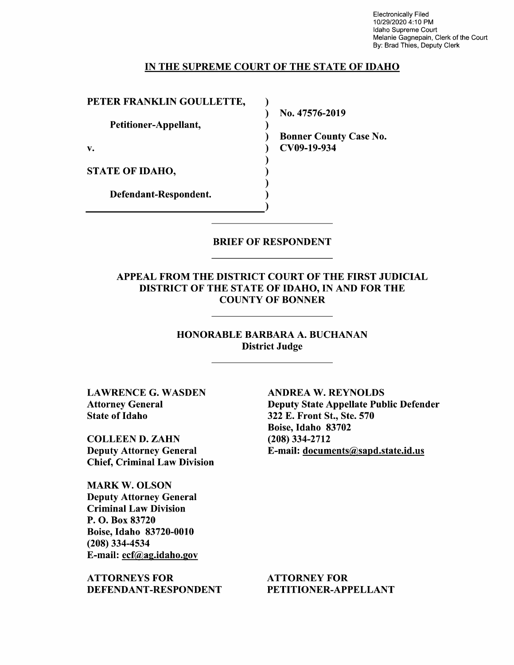Electronically Filed 10/29/2020 4:10 PM Idaho Supreme Court Melanie Gagnepain, Clerk of the Court By: Brad Thies, Deputy Clerk

#### IN THE SUPREME COURT OF THE STATE OF IDAHO

↑  $\lambda$  $\mathbf{I}$ 

PETER FRANKLIN GOULLETTE,

Petitioner-Appellant,

STATE OF IDAHO,

Defendant—Respondent.

N0. 47576-2019

Bonner County Case No. v. CV09-19-934

BRIEF OF RESPONDENT

APPEAL FROM THE DISTRICT COURT OF THE FIRST JUDICIAL DISTRICT OF THE STATE OF IDAHO, IN AND FOR THE COUNTY OF BONNER

> HONORABLE BARBARA A. BUCHANAN District Judge

LAWRENCE G. WASDEN Attorney General State of Idaho

COLLEEN D. ZAHN Deputy Attorney General Chief, Criminal Law Division

MARK W. OLSON Deputy Attorney General Criminal Law Division P. O. Box 83720 Boise, Idaho 83720-0010 (208) 334-4534 E-mail: ecf@ag.idaho.gov

ATTORNEYS FOR DEFENDANT-RESPONDENT

ANDREA W. REYNOLDS Deputy State Appellate Public Defender 322 E. Front St., Ste. 570 Boise, Idaho 83702 (208) 334-2712 E-mail: documents@sapd.state.id.us

ATTORNEY FOR PETITIONER—APPELLANT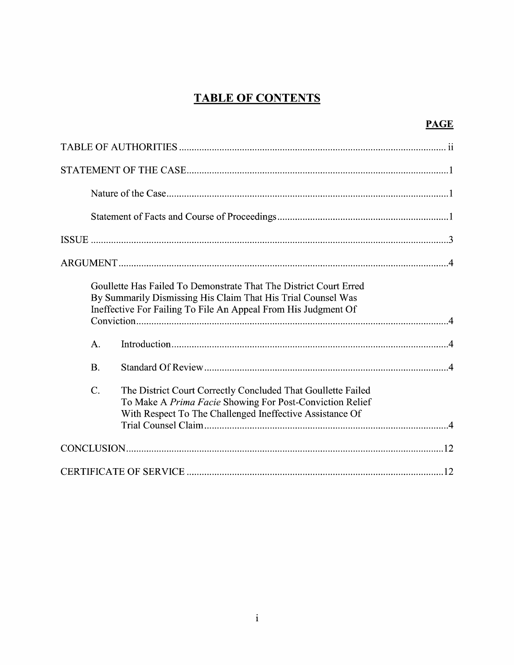# **TABLE OF CONTENTS**

| H<br>ι.<br>T<br>г. |
|--------------------|
|                    |

| Goullette Has Failed To Demonstrate That The District Court Erred<br>By Summarily Dismissing His Claim That His Trial Counsel Was<br>Ineffective For Failing To File An Appeal From His Judgment Of     |
|---------------------------------------------------------------------------------------------------------------------------------------------------------------------------------------------------------|
| A.                                                                                                                                                                                                      |
| $\mathbf{B}$ .                                                                                                                                                                                          |
| $\mathcal{C}$ .<br>The District Court Correctly Concluded That Goullette Failed<br>To Make A Prima Facie Showing For Post-Conviction Relief<br>With Respect To The Challenged Ineffective Assistance Of |
|                                                                                                                                                                                                         |
|                                                                                                                                                                                                         |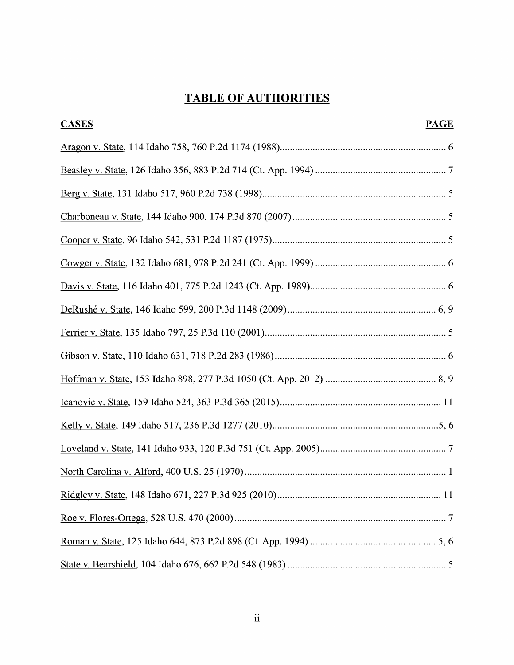# TABLE OF AUTHORITIES

| <b>CASES</b><br><b>PAGE</b> |
|-----------------------------|
|                             |
|                             |
|                             |
|                             |
|                             |
|                             |
|                             |
|                             |
|                             |
|                             |
|                             |
|                             |
|                             |
|                             |
|                             |
|                             |
|                             |
|                             |
|                             |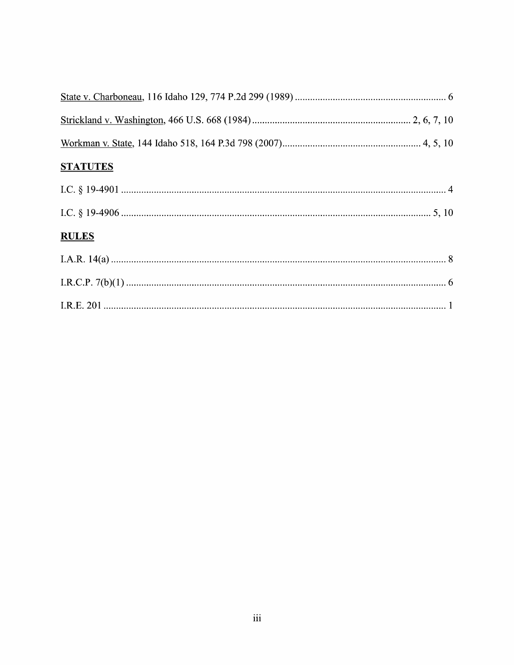| <b>STATUTES</b> |  |
|-----------------|--|
|                 |  |
|                 |  |
| <b>RULES</b>    |  |
|                 |  |
|                 |  |
|                 |  |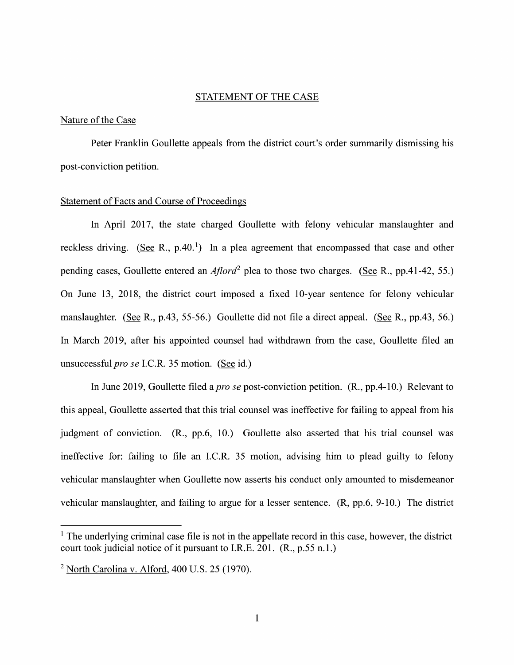#### STATEMENT OF THE CASE

#### Nature of the Case

Peter Franklin Goullette appeals from the district court's order summarily dismissing his post-conviction petition.

#### Statement 0f Facts and Course 0f Proceedings

In April 2017, the state charged Goullette With felony vehicular manslaughter and reckless driving. (See R., p.40.<sup>1</sup>) In a plea agreement that encompassed that case and other pending cases, Goullette entered an  $A$ flord<sup>2</sup> plea to those two charges. (See R., pp.41-42, 55.) On June 13, 2018, the district court imposed a fixed 10-year sentence for felony vehicular On June 13, 2018, the district court imposed a fixed 10-year sentence for felony vehicular<br>manslaughter. (<u>See</u> R., p.43, 55-56.) Goullette did not file a direct appeal. (See R., pp.43, 56.) manslaughter. (See R., p.43, 55-56.) Goullette did not file a direct appeal. (See R., pp.43, 56.)<br>In March 2019, after his appointed counsel had withdrawn from the case, Goullette filed an unsuccessful *pro se* I.C.R. 35 motion. (See id.)

In June 2019, Goullette filed a *pro se* post-conviction petition.  $(R., pp.4-10.)$  Relevant to this appeal, Goullette asserted that this trial counsel was ineffective for failing to appeal from his judgment of conviction. (R., pp.6, 10.) Goullette also asserted that his trial counsel was ineffective for: failing to file an I.C.R.  $35$  motion, advising him to plead guilty to felony vehicular manslaughter when Goullette now asserts his conduct only amounted to misdemeanor vehicular manslaughter, and failing to argue for a lesser sentence.  $(R, pp.6, 9-10)$  The district

 $<sup>1</sup>$  The underlying criminal case file is not in the appellate record in this case, however, the district</sup> court took judicial notice 0f it pursuant to I.R.E. 201. (R., p.55 n.1.)

 $2$  North Carolina v. Alford, 400 U.S. 25 (1970).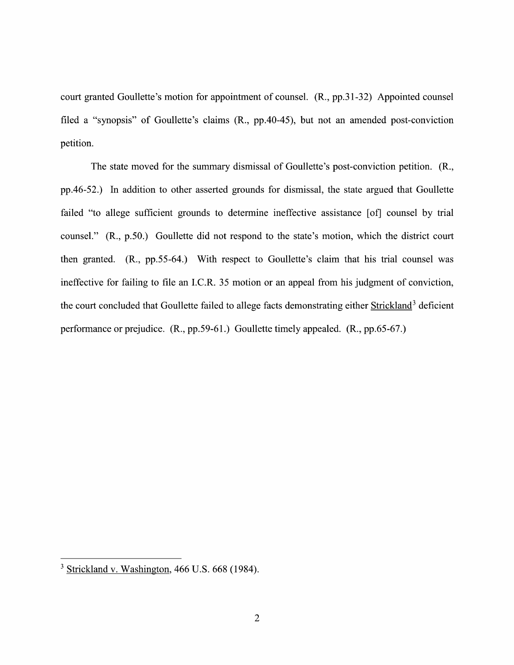court granted Goullette's motion for appointment of counsel. (R., pp.3 1-32) Appointed counsel filed a "synopsis" of Goullette's claims (R., pp.40-45), but not an amended post-conviction petition.

The state moved for the summary dismissal of Goullette's post-conviction petition. (R., pp.46-52.) In addition to other asserted grounds for dismissal, the state argued that Goullette failed "to allege sufficient grounds to determine ineffective assistance [of] counsel by trial counsel." (R., p.50.) Goullette did not respond to the state's motion, which the district court then granted.  $(R., pp.55-64.)$  With respect to Goullette's claim that his trial counsel was ineffective for failing to file an I.C.R. 35 motion or an appeal from his judgment of conviction, the court concluded that Goullette failed to allege facts demonstrating either Strickland<sup>3</sup> deficient performance 0r prejudice. (R., pp.59-61 .) Goullette timely appealed. (R., pp.65-67.)

 $3$  Strickland v. Washington, 466 U.S. 668 (1984).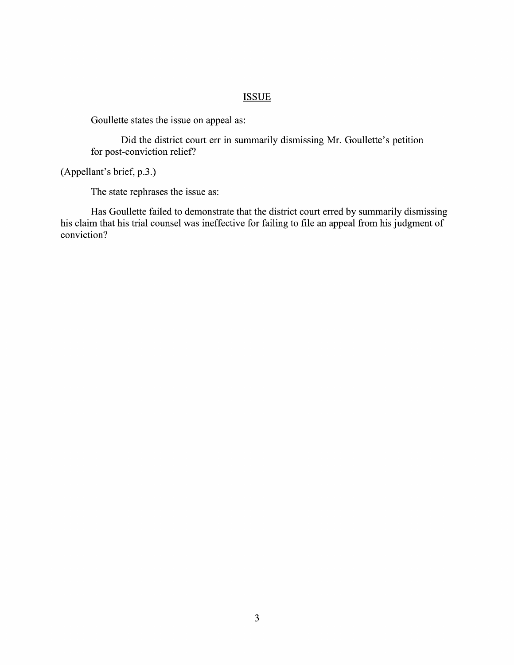#### **ISSUE**

Goullette states the issue on appeal as:

Did the district court err in summarily dismissing Mr. Goullette's petition for post-conviction relief?

(Appellant's brief, p.3.)

The state rephrases the issue as:

Has Goullette failed to demonstrate that the district court erred by summarily dismissing his claim that his trial counsel was ineffective for failing to file an appeal from his judgment of conviction?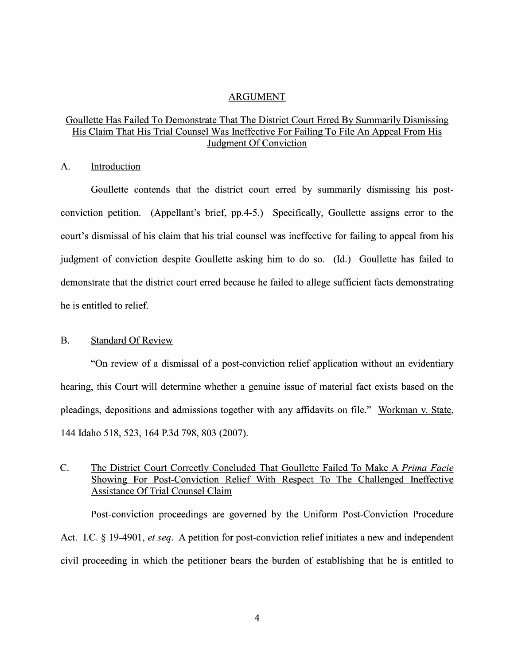#### ARGUMENT

## Goullette Has Failed To Demonstrate That The District Court Erred By Summarily Dismissing His Claim That His Trial Counsel Was Ineffective For Failing To File An Appeal From His Judgment Of Conviction

### A. Introduction

Goullette contends that the district court erred by summarily dismissing his postconviction petition. (Appellant's brief, pp.4-5.) Specifically, Goullette assigns error to the court's dismissal of his claim that his trial counsel was ineffective for failing to appeal from his judgment of conviction despite Goullette asking him to do so. (Id.) Goullette has failed to demonstrate that the district court erred because he failed to allege sufficient facts demonstrating he is entitled to relief.

#### B. Standard Of Review

"On review of a dismissal of a post-conviction relief application without an evidentiary hearing, this Court will determine whether a genuine issue of material fact exists based on the pleadings, depositions and admissions together with any affidavits on file." Workman v. State, 144 Idaho 518, 523, 164 P.3d 798, 803 (2007).

# C. The District Court Correctly Concluded That Goullette Failed To Make A Prima Facie Showing For Post-Conviction Relief With Respect To The Challenged Ineffective Assistance Of Trial Counsel Claim

Post-conviction proceedings are governed by the Uniform Post—Conviction Procedure Act. I.C.  $\S$  19-4901, *et seq.* A petition for post-conviction relief initiates a new and independent civil proceeding in which the petitioner bears the burden of establishing that he is entitled to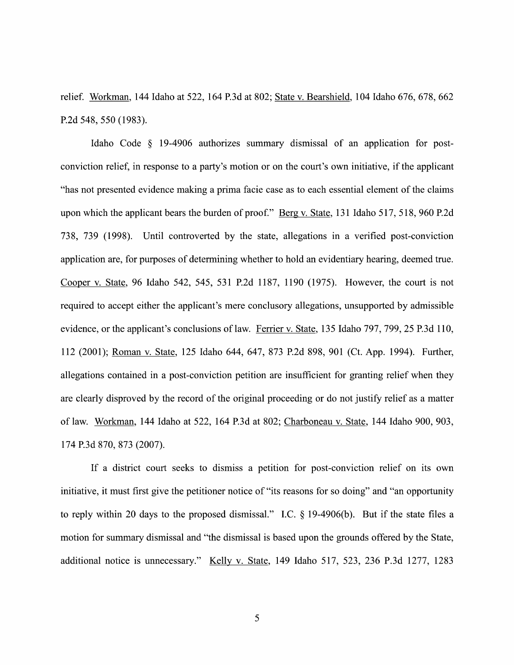relief. Workman, <sup>144</sup> Idaho at 522, <sup>164</sup> P.3d at 802; State V. Bearshield, <sup>104</sup> Idaho 676, 678, <sup>662</sup> P.2d 548, 550 (1983).

Idaho Code § 19-4906 authorizes summary dismissal of an application for postconviction relief, in response to a party's motion or on the court's own initiative, if the applicant "has not presented evidence making a prima facie case as to each essential element of the claims upon which the applicant bears the burden of proof." Berg v. State, 131 Idaho 517, 518, 960 P.2d 738, 739 (1998). Until controverted by the state, allegations in a verified post-conviction application are, for purposes of determining Whether to hold an evidentiary hearing, deemed true. Cooper V. State, 96 Idaho 542, 545, 531 P.2d 1187, 1190 (1975). However, the court is not required to accept either the applicant's mere conclusory allegations, unsupported by admissible evidence, or the applicant's conclusions of law. Ferrier v. State, 135 Idaho 797, 799, 25 P.3d 110, 112 (2001); Roman V. State, 125 Idaho 644, 647, 873 P.2d 898, 901 (Ct. App. 1994). Further, allegations contained in a post-conviction petition are insufficient for granting relief when they are clearly disproved by the record of the original proceeding or do not justify relief as a matter of law. Workman, <sup>144</sup> Idaho at 522, <sup>164</sup> P.3d at 802; Charboneau V. State, <sup>144</sup> Idaho 900, 903, 174 P.3d 870, 873 (2007).

If a district court seeks to dismiss a petition for post-conviction relief on its own initiative, it must first give the petitioner notice of "its reasons for so doing" and "an opportunity to reply within 20 days to the proposed dismissal." I.C.  $\S$  19-4906(b). But if the state files a motion for summary dismissal and "the dismissal is based upon the grounds offered by the State, additional notice is unnecessary." Kelly V. State, <sup>149</sup> Idaho 517, 523, <sup>236</sup> P.3d 1277, <sup>1283</sup>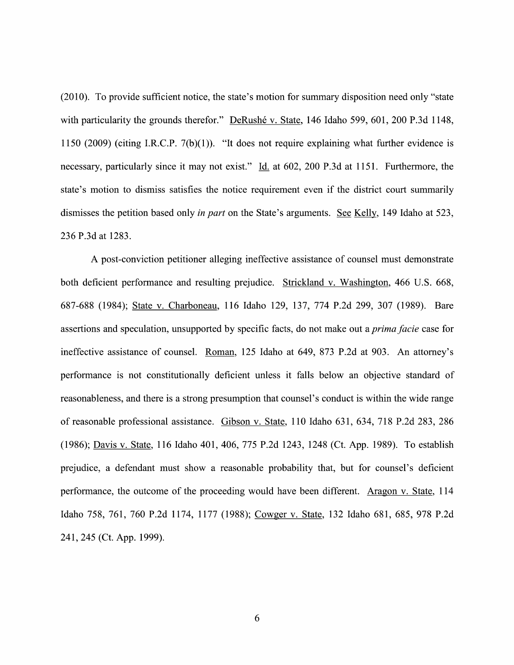(2010). To provide sufficient notice, the state's motion for summary disposition need only "state with particularity the grounds therefor." DeRushé v. State, 146 Idaho 599, 601, 200 P.3d 1148, 1150 (2009) (citing I.R.C.P. 7(b)(1)). "It does not require explaining What further evidence is necessary, particularly since it may not exist." Id. at 602, 200 P.3d at 1151. Furthermore, the state's motion to dismiss satisfies the notice requirement even if the district court summarily dismisses the petition based only in part on the State's arguments. See Kelly, 149 Idaho at 523, 236 P.3d at 1283.

A post-conviction petitioner alleging ineffective assistance of counsel must demonstrate both deficient performance and resulting prejudice. Strickland V. Washington, 466 U.S. 668, 687-688 (1984); State V. Charboneau, 116 Idaho 129, 137, 774 P.2d 299, 307 (1989). Bare assertions and speculation, unsupported by specific facts, do not make out a *prima facie* case for ineffective assistance of counsel. Roman, 125 Idaho at 649, 873 P.2d at 903. An attorney's performance is not constitutionally deficient unless it falls below an objective standard 0f reasonableness, and there is a strong presumption that counsel's conduct is within the wide range of reasonable professional assistance. Gibson V. State, 110 Idaho 631, 634, 718 P.2d 283, 286 (1986); Davis v. State, 116 Idaho 401, 406, 775 P.2d 1243, 1248 (Ct. App. 1989). To establish prejudice, a defendant must show a reasonable probability that, but for counsel's deficient performance, the outcome 0f the proceeding would have been different. Aragon V. State, 114 Idaho 758, 761, 760 P.2d 1174, 1177 (1988); Cowger V. State, 132 Idaho 681, 685, 978 P.2d 241, 245 (Ct. App. 1999).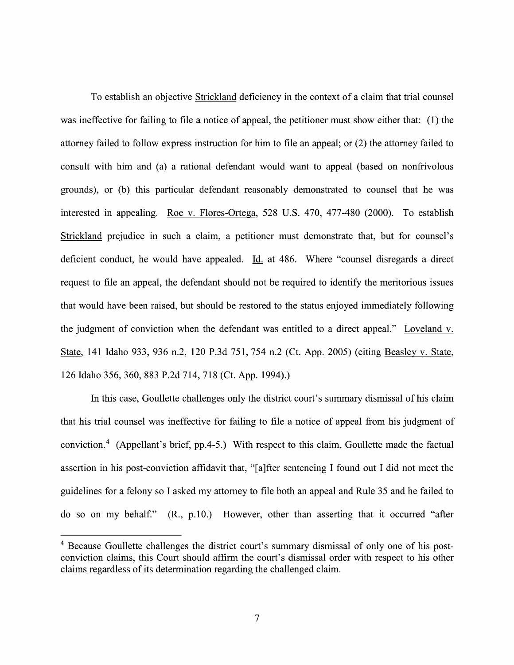To establish an objective Strickland deficiency in the context of a claim that trial counsel was ineffective for failing to file a notice of appeal, the petitioner must show either that: (1) the attorney failed to follow express instruction for him to file an appeal; or (2) the attorney failed to consult with him and (a) a rational defendant would want to appeal (based on nonfrivolous grounds), or (b) this particular defendant reasonably demonstrated to counsel that he was interested in appealing. Roe V. Flores-Ortega, 528 U.S. 470, 477-480 (2000). To establish Strickland prejudice in such a claim, a petitioner must demonstrate that, but for counsel's deficient conduct, he would have appealed. Id. at 486. Where "counsel disregards a direct request to file an appeal, the defendant should not be required to identify the meritorious issues that would have been raised, but should be restored to the status enjoyed immediately following the judgment of conviction when the defendant was entitled to a direct appeal." Loveland v. State, 141 Idaho 933, 936 n.2, 120 P.3d 751, 754 n.2 (Ct. App. 2005) (citing Beasley v. State, <sup>126</sup> Idaho 356, 360, <sup>883</sup> P.2d 714, <sup>718</sup> (Ct. App. 1994).)

In this case, Goullette challenges only the district court's summary dismissal 0f his claim that his trial counsel was ineffective for failing to file a notice of appeal from his judgment of conviction.4 (Appellant's brief, pp.4-5.) With respect to this claim, Goullette made the factual assertion in his post-conviction affidavit that, "[a]fter sentencing I found out I did not meet the guidelines for a felony so I asked my attorney to file both an appeal and Rule 35 and he failed to do so on my behalf." (R., p.10.) However, other than asserting that it occurred "after

<sup>&</sup>lt;sup>4</sup> Because Goullette challenges the district court's summary dismissal of only one of his postconviction claims, this Court should affirm the court's dismissal order with respect to his other claims regardless of its determination regarding the challenged claim.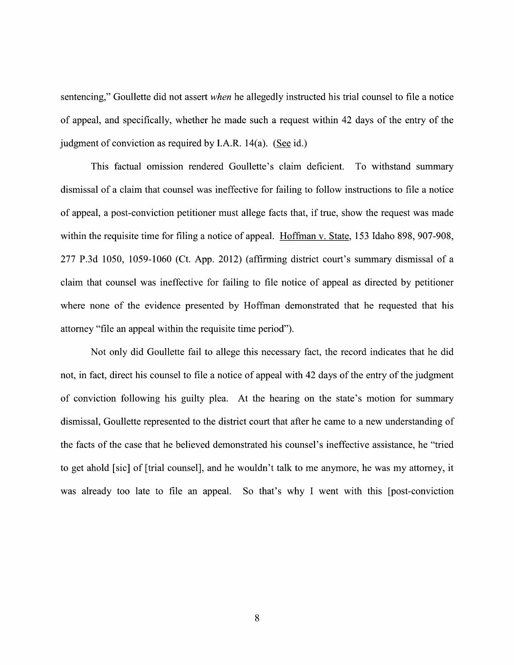sentencing," Goullette did not assert when he allegedly instructed his trial counsel to file a notice of appeal, and specifically, whether he made such a request within 42 days of the entry of the judgment of conviction as required by I.A.R. 14(a). (See id.)

This factual omission rendered Goullette's claim deficient. To withstand summary dismissal of a claim that counsel was ineffective for failing to follow instructions to file a notice of appeal, a post-conviction petitioner must allege facts that, if true, show the request was made within the requisite time for filing a notice of appeal. Hoffman v. State, 153 Idaho 898, 907-908, 277 P.3d 1050, 1059-1060 (Ct. App. 2012) (affirming district court's summary dismissal 0f claim that counsel was ineffective for failing to file notice of appeal as directed by petitioner where none of the evidence presented by Hoffman demonstrated that he requested that his attorney "file an appeal Within the requisite time period").

Not only did Goullette fail to allege this necessary fact, the record indicates that he did not, in fact, direct his counsel to file a notice of appeal with 42 days of the entry of the judgment 0f conviction following his guilty plea. At the hearing 0n the state's motion for summary dismissal, Goullette represented to the district court that after he came to a new understanding of the facts of the case that he believed demonstrated his counsel's ineffective assistance, he "tried to get ahold [sic] of [trial counsel], and he wouldn't talk to me anymore, he was my attorney, it was already too late to file an appeal. So that's why I went with this [post-conviction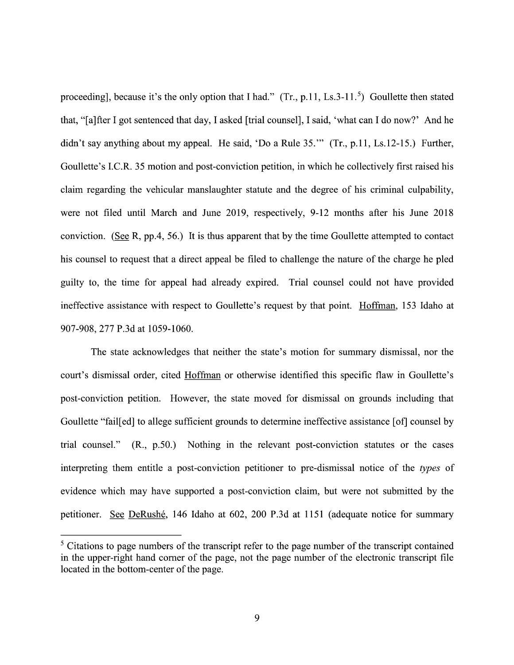proceeding], because it's the only option that I had." (Tr., p.11, Ls.3-11.<sup>5</sup>) Goullette then stated that, "[a]fter I got sentenced that day, I asked [trial counsel], I said, 'what can I do now?' And he didn't say anything about my appeal. He said, 'Do a Rule  $35$ .'" (Tr., p.11, Ls.12-15.) Further, Goullette's I.C.R. 35 motion and post-conviction petition, in which he collectively first raised his claim regarding the vehicular manslaughter statute and the degree 0f his criminal culpability, were not filed until March and June 2019, respectively, 9-12 months after his June 2018 conviction. (See R, pp.4, 56.) It is thus apparent that by the time Goullette attempted to contact his counsel to request that a direct appeal be filed to challenge the nature of the charge he pled guilty to, the time for appeal had already expired. Trial counsel could not have provided ineffective assistance with respect to Goullette's request by that point. Hoffman, 153 Idaho at 907-908, 277 P.3d at 1059-1060.

The state acknowledges that neither the state's motion for summary dismissal, nor the court's dismissal order, cited Hoffman or otherwise identified this specific flaw in Goullette's post-conviction petition. However, the state moved for dismissal on grounds including that Goullette "fail[ed] to allege sufficient grounds to determine ineffective assistance [of] counsel by trial counsel." (R., p.50.) Nothing in the relevant post-conviction statutes or the cases interpreting them entitle a post-conviction petitioner to pre-dismissal notice of the types of evidence which may have supported a post-conviction claim, but were not submitted by the petitioner. See DeRushé, 146 Idaho at 602, 200 P.3d at 1151 (adequate notice for summary

 $\frac{5}{5}$  Citations to page numbers of the transcript refer to the page number of the transcript contained in the upper-right hand corner of the page, not the page number of the electronic transcript file located in the bottom-center of the page.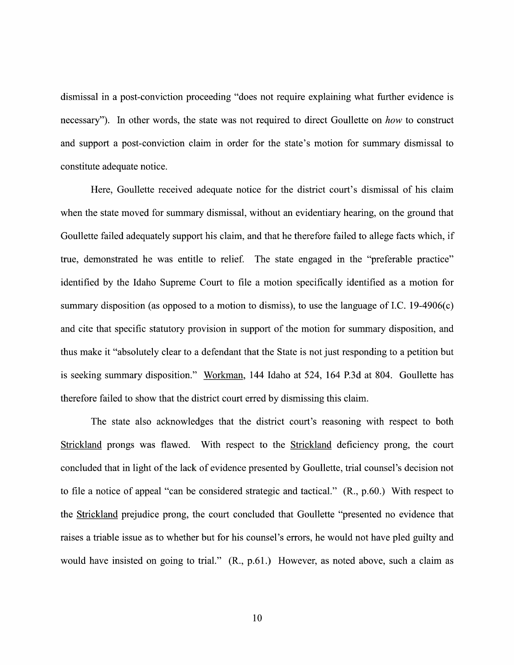dismissal in a post-conviction proceeding "does not require explaining what further evidence is necessary"). In other words, the state was not required to direct Goullette on how to construct and support a post-conviction claim in order for the state's motion for summary dismissal to constitute adequate notice.

Here, Goullette received adequate notice for the district court's dismissal of his claim when the state moved for summary dismissal, without an evidentiary hearing, on the ground that Goullette failed adequately support his claim, and that he therefore failed to allege facts which, if true, demonstrated he was entitle to relief. The state engaged in the "preferable practice" identified by the Idaho Supreme Court to file a motion specifically identified as a motion for summary disposition (as opposed to a motion to dismiss), to use the language of I.C. 19-4906(c) and cite that specific statutory provision in support of the motion for summary disposition, and thus make it "absolutely clear to a defendant that the State is not just responding to a petition but is seeking summary disposition." Workman, 144 Idaho at 524, 164 P.3d at 804. Goullette has therefore failed t0 show that the district court erred by dismissing this claim.

The state also acknowledges that the district court's reasoning With respect to both Strickland prongs was flawed. With respect to the Strickland deficiency prong, the court concluded that in light of the lack of evidence presented by Goullette, trial counsel's decision not to file a notice of appeal "can be considered strategic and tactical."  $(R., p.60.)$  With respect to the Strickland prejudice prong, the court concluded that Goullette "presented no evidence that raises a triable issue as to whether but for his counsel's errors, he would not have pled guilty and would have insisted on going to trial."  $(R., p.61.)$  However, as noted above, such a claim as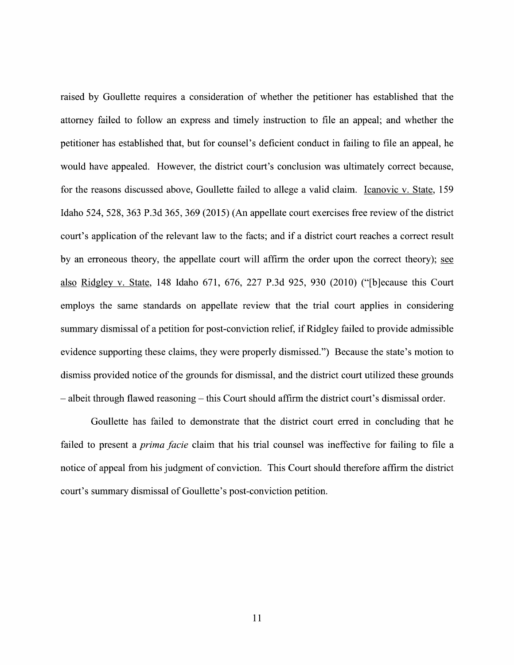raised by Goullette requires a consideration of whether the petitioner has established that the attorney failed to follow an express and timely instruction to file an appeal; and Whether the petitioner has established that, but for counsel's deficient conduct in failing to file an appeal, he would have appealed. However, the district court's conclusion was ultimately correct because, for the reasons discussed above, Goullette failed to allege a valid claim. Icanovic v. State, 159 Idaho 524, 528, 363 P.3d 365, 369 (2015) (An appellate court exercises free review of the district court's application of the relevant law to the facts; and if a district court reaches a correct result by an erroneous theory, the appellate court will affirm the order upon the correct theory); see also Ridglev V. State, 148 Idaho 671, 676, 227 P.3d 925, 930 (2010) ("[b]ecause this Court employs the same standards on appellate review that the trial court applies in considering summary dismissal of a petition for post-conviction relief, if Ridgley failed to provide admissible evidence supporting these claims, they were properly dismissed.") Because the state's motion to dismiss provided notice of the grounds for dismissal, and the district court utilized these grounds  $-$  albeit through flawed reasoning  $-$  this Court should affirm the district court's dismissal order.

Goullette has failed to demonstrate that the district court erred in concluding that he failed to present a *prima facie* claim that his trial counsel was ineffective for failing to file a notice of appeal from his judgment 0f conviction. This Court should therefore affirm the district court's summary dismissal 0f Goullette's post-conviction petition.